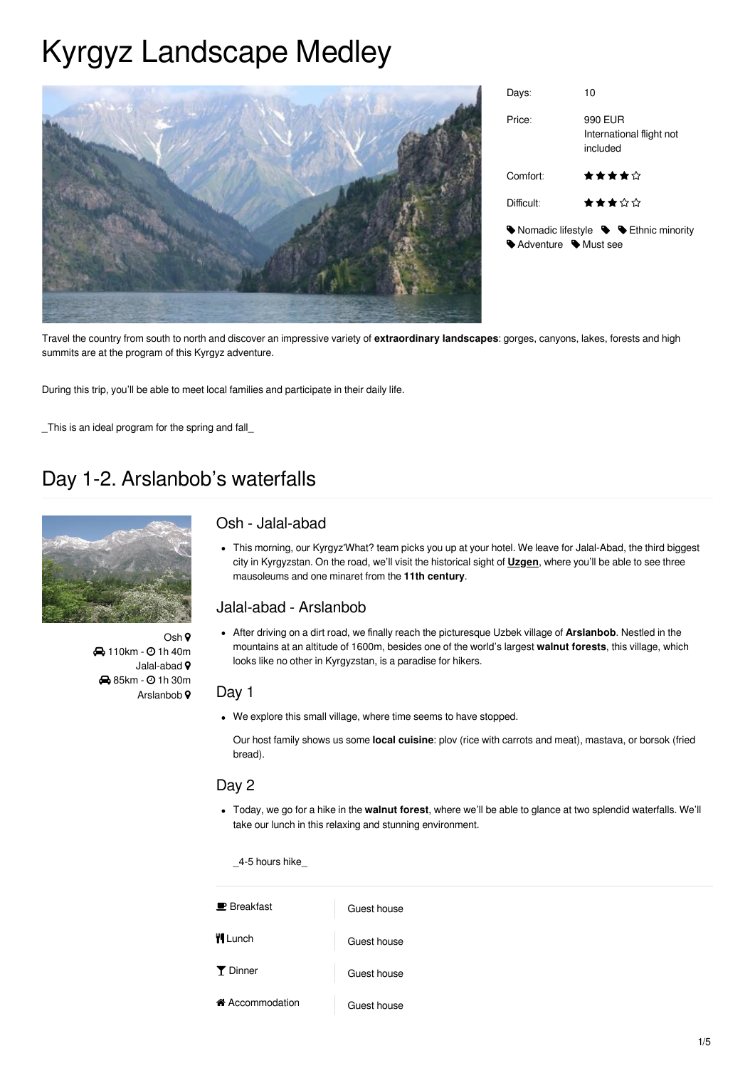# Kyrgyz Landscape Medley



| Days:              | 10                                                                                                  |
|--------------------|-----------------------------------------------------------------------------------------------------|
| Price:             | 990 EUR<br>International flight not<br>included                                                     |
| Comfort:           | ★★★★☆                                                                                               |
| Difficult:         | ★★★☆☆                                                                                               |
| Adventure Must see | $\blacktriangleright$ Nomadic lifestyle $\blacktriangleright$ $\blacktriangleright$ Ethnic minority |

Travel the country from south to north and discover an impressive variety of **extraordinary landscapes**: gorges, canyons, lakes, forests and high summits are at the program of this Kyrgyz adventure.

During this trip, you'll be able to meet local families and participate in their daily life.

This is an ideal program for the spring and fall

## Day 1-2. Arslanbob's waterfalls



Osh 9 **4** 110km - 0 1h 40m Jalal-abad 9 **8** 85km -  $\odot$  1h 30m Arslanbob 9

### Osh - Jalal-abad

This morning, our Kyrgyz'What? team picks you up at your hotel. We leave for Jalal-Abad, the third biggest city in Kyrgyzstan. On the road, we'll visit the historical sight of **Uzgen**, where you'll be able to see three mausoleums and one minaret from the **11th century**.

### Jalal-abad - Arslanbob

After driving on a dirt road, we finally reach the picturesque Uzbek village of **Arslanbob**. Nestled in the mountains at an altitude of 1600m, besides one of the world's largest **walnut forests**, this village, which looks like no other in Kyrgyzstan, is a paradise for hikers.

### Day 1

We explore this small village, where time seems to have stopped.

Our host family shows us some **local cuisine**: plov (rice with carrots and meat), mastava, or borsok (fried bread).

### Day 2

Today, we go for a hike in the **walnut forest**, where we'll be able to glance at two splendid waterfalls. We'll take our lunch in this relaxing and stunning environment.

\_4-5 hours hike\_

| $\blacksquare$ Breakfast | Guest house |
|--------------------------|-------------|
| <b>H</b> Lunch           | Guest house |
| <b>T</b> Dinner          | Guest house |
| ← Accommodation          | Guest house |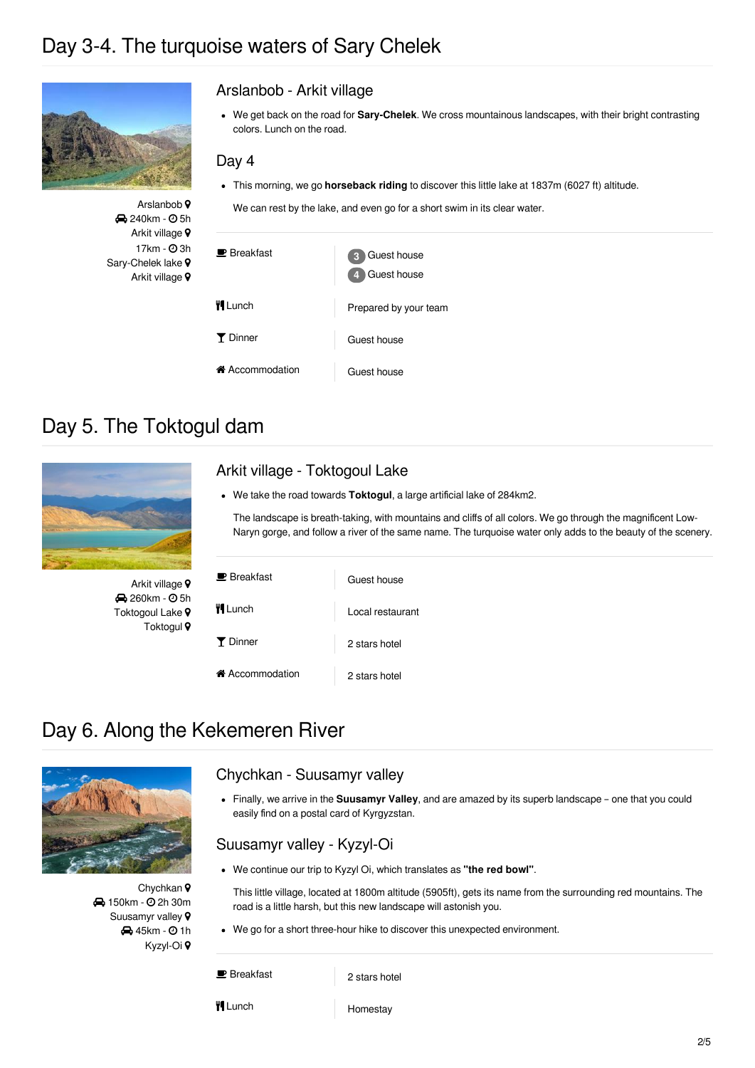## Day 3-4. The turquoise waters of Sary Chelek



Arslanbob<sup>9</sup> **240km - 05h** Arkit village 9  $17km - ②3h$ Sary-Chelek lake ? Arkit village 9

### Arslanbob - Arkit village

We get back on the road for **Sary-Chelek**. We cross mountainous landscapes, with their bright contrasting colors. Lunch on the road.

#### Day 4

This morning, we go **horseback riding** to discover this little lake at 1837m (6027 ft) altitude.

We can rest by the lake, and even go for a short swim in its clear water.

| $\blacksquare$ Breakfast     | Guest house<br>3<br>Guest house<br>41 |
|------------------------------|---------------------------------------|
| <b>WILunch</b>               | Prepared by your team                 |
| Y Dinner                     | Guest house                           |
| i <sup>A</sup> Accommodation | Guest house                           |

## Day 5. The Toktogul dam

**260km - © 5h** Toktogoul Lake 9 Toktogul 9



Arkit village - Toktogoul Lake We take the road towards **Toktogul**, a large artificial lake of 284km2.

The landscape is breath-taking, with mountains and cliffs of all colors. We go through the magnificent Low-Naryn gorge, and follow a river of the same name. The turquoise water only adds to the beauty of the scenery.

| $\blacksquare$ Breakfast     | Guest house      |  |
|------------------------------|------------------|--|
| <b>TI</b> Lunch              | Local restaurant |  |
| Y Dinner                     | 2 stars hotel    |  |
| i <sup>4</sup> Accommodation | 2 stars hotel    |  |

## Day 6. Along the Kekemeren River



Chychkan 9 **4** 150km - 0 2h 30m Suusamyr valley 9 **45km - 01h** Kyzyl-Oi

### Chychkan - Suusamyr valley

Finally, we arrive in the **Suusamyr Valley**, and are amazed by its superb landscape – one that you could easily find on a postal card of Kyrgyzstan.

### Suusamyr valley - Kyzyl-Oi

We continue our trip to Kyzyl Oi, which translates as **"the red bowl"**.

This little village, located at 1800m altitude (5905ft), gets its name from the surrounding red mountains. The road is a little harsh, but this new landscape will astonish you.

We go for a short three-hour hike to discover this unexpected environment.

**B** Breakfast 2 stars hotel

**Times Homestay**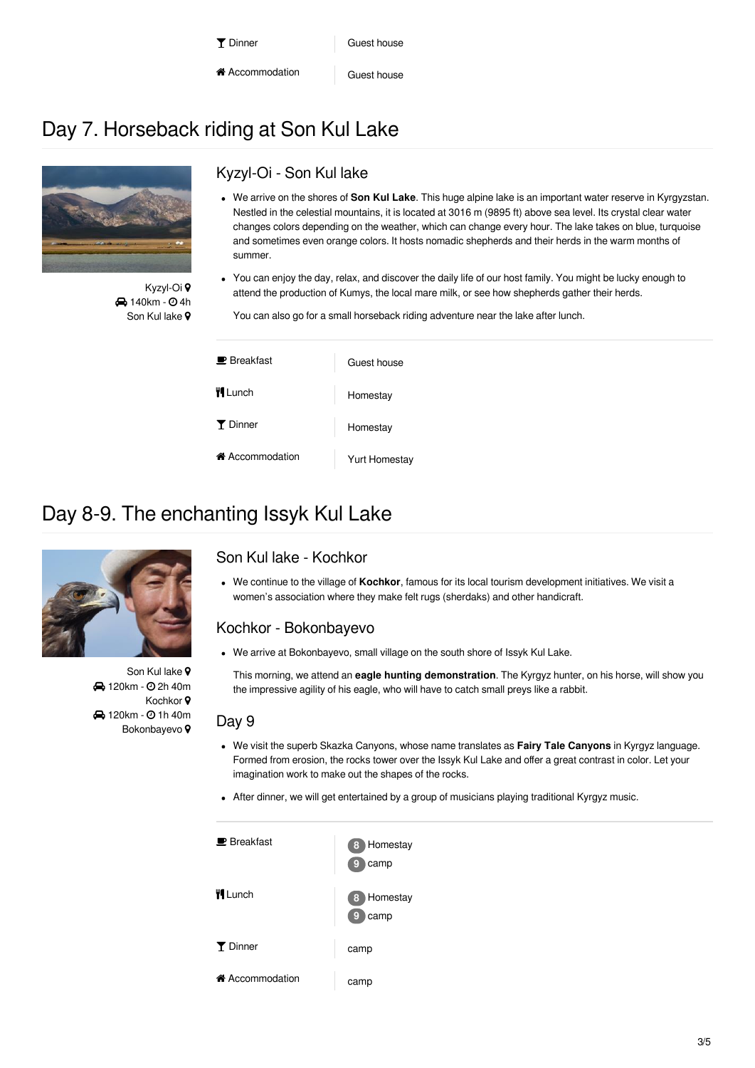- Accommodation Guest house
- 

## Day 7. Horseback riding at Son Kul Lake



Kyzyl-Oi **4** 140km -  $\odot$  4h Son Kul lake 9

### Kyzyl-Oi - Son Kul lake

- We arrive on the shores of **Son Kul Lake**. This huge alpine lake is an important water reserve in Kyrgyzstan. Nestled in the celestial mountains, it is located at 3016 m (9895 ft) above sea level. Its crystal clear water changes colors depending on the weather, which can change every hour. The lake takes on blue, turquoise and sometimes even orange colors. It hosts nomadic shepherds and their herds in the warm months of summer.
- You can enjoy the day, relax, and discover the daily life of our host family. You might be lucky enough to attend the production of Kumys, the local mare milk, or see how shepherds gather their herds.

You can also go for a small horseback riding adventure near the lake after lunch.

| $\blacksquare$ Breakfast | Guest house   |
|--------------------------|---------------|
| <b>II</b> Lunch          | Homestay      |
| <b>Y</b> Dinner          | Homestay      |
| i Accommodation          | Yurt Homestay |

## Day 8-9. The enchanting Issyk Kul Lake



Son Kul lake 9 **4** 120km - 0 2h 40m Kochkor<sup>9</sup> **4** 120km -  $\odot$  1h 40m Bokonbayevo<sup>9</sup>

### Son Kul lake - Kochkor

We continue to the village of **Kochkor**, famous for its local tourism development initiatives. We visit a women's association where they make felt rugs (sherdaks) and other handicraft.

### Kochkor - Bokonbayevo

We arrive at Bokonbayevo, small village on the south shore of Issyk Kul Lake.

This morning, we attend an **eagle hunting demonstration**. The Kyrgyz hunter, on his horse, will show you the impressive agility of his eagle, who will have to catch small preys like a rabbit.

### Day 9

- We visit the superb Skazka Canyons, whose name translates as **Fairy Tale Canyons** in Kyrgyz language. Formed from erosion, the rocks tower over the Issyk Kul Lake and offer a great contrast in color. Let your imagination work to make out the shapes of the rocks.
- After dinner, we will get entertained by a group of musicians playing traditional Kyrgyz music.

| $\blacksquare$ Breakfast | 8 Homestay<br>camp<br>g |
|--------------------------|-------------------------|
| <b>WI</b> Lunch          | 8 Homestay<br>camp<br>g |
| <b>T</b> Dinner          | camp                    |
| in Accommodation         | camp                    |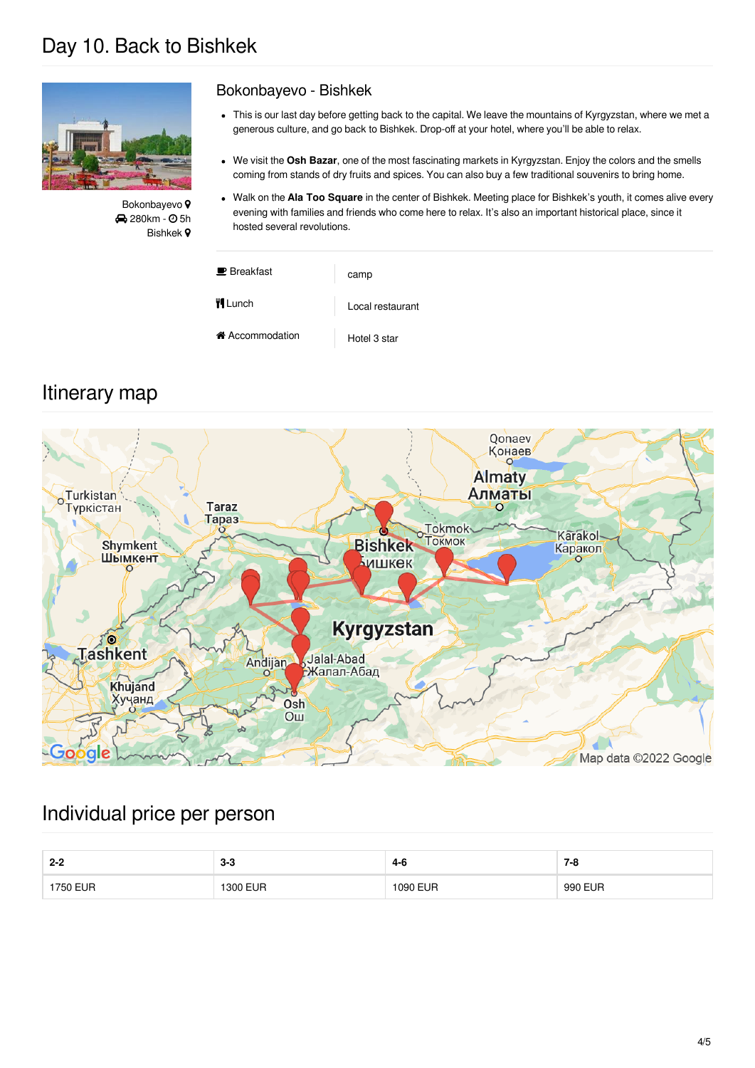## Day 10. Back to Bishkek



Bokonbayevo<sup>9</sup> **280km - © 5h** Bishkek

### Bokonbayevo - Bishkek

- This is our last day before getting back to the capital. We leave the mountains of Kyrgyzstan, where we met a generous culture, and go back to Bishkek. Drop-off at your hotel, where you'll be able to relax.
- We visit the **Osh Bazar**, one of the most fascinating markets in Kyrgyzstan. Enjoy the colors and the smells coming from stands of dry fruits and spices. You can also buy a few traditional souvenirs to bring home.
- Walk on the **Ala Too Square** in the center of Bishkek. Meeting place for Bishkek's youth, it comes alive every  $\bullet$ evening with families and friends who come here to relax. It's also an important historical place, since it hosted several revolutions.

| $\blacksquare$ Breakfast | camp             |
|--------------------------|------------------|
| <b>Vi</b> Lunch          | Local restaurant |
| ← Accommodation          | Hotel 3 star     |

## Itinerary map



### Individual price per person

| $2 - 2$  | 0 Q<br>ა-ა | -<br>4-б | $7 - 8$      |
|----------|------------|----------|--------------|
| 1750 EUR | 1300 EUR   | 1090 EUR | 0 EUR<br>990 |